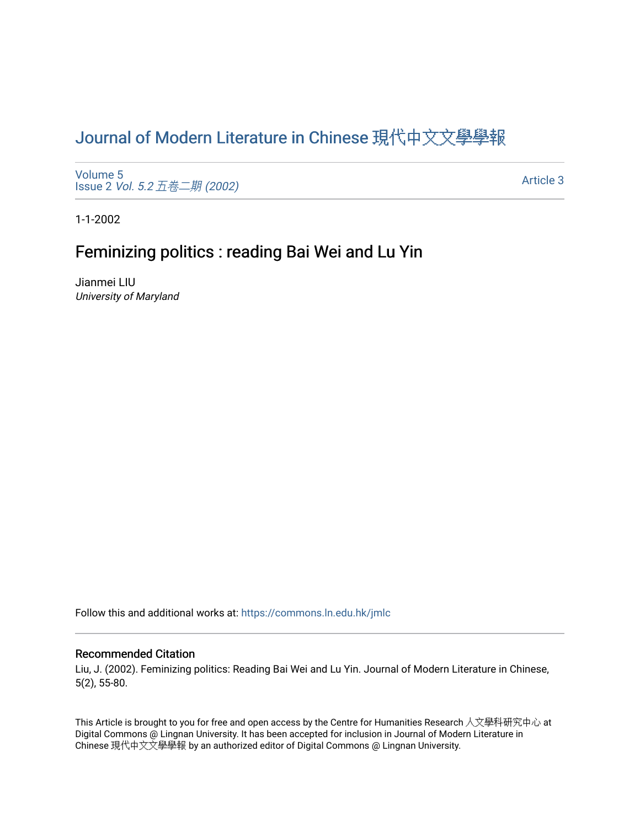# [Journal of Modern Literature in Chinese](https://commons.ln.edu.hk/jmlc) 現代中文文學學報

[Volume 5](https://commons.ln.edu.hk/jmlc/vol5) Issue 2 Vol. 5.2  $\overline{\Delta}$   $\overline{\overline{B}}$   $\overline{\overline{B}}$  (2002)

[Article 3](https://commons.ln.edu.hk/jmlc/vol5/iss2/3) 

1-1-2002

## Feminizing politics : reading Bai Wei and Lu Yin

Jianmei LIU University of Maryland

Follow this and additional works at: [https://commons.ln.edu.hk/jmlc](https://commons.ln.edu.hk/jmlc?utm_source=commons.ln.edu.hk%2Fjmlc%2Fvol5%2Fiss2%2F3&utm_medium=PDF&utm_campaign=PDFCoverPages) 

### Recommended Citation

Liu, J. (2002). Feminizing politics: Reading Bai Wei and Lu Yin. Journal of Modern Literature in Chinese, 5(2), 55-80.

This Article is brought to you for free and open access by the Centre for Humanities Research 人文學科研究中心 at Digital Commons @ Lingnan University. It has been accepted for inclusion in Journal of Modern Literature in Chinese 現代中文文學學報 by an authorized editor of Digital Commons @ Lingnan University.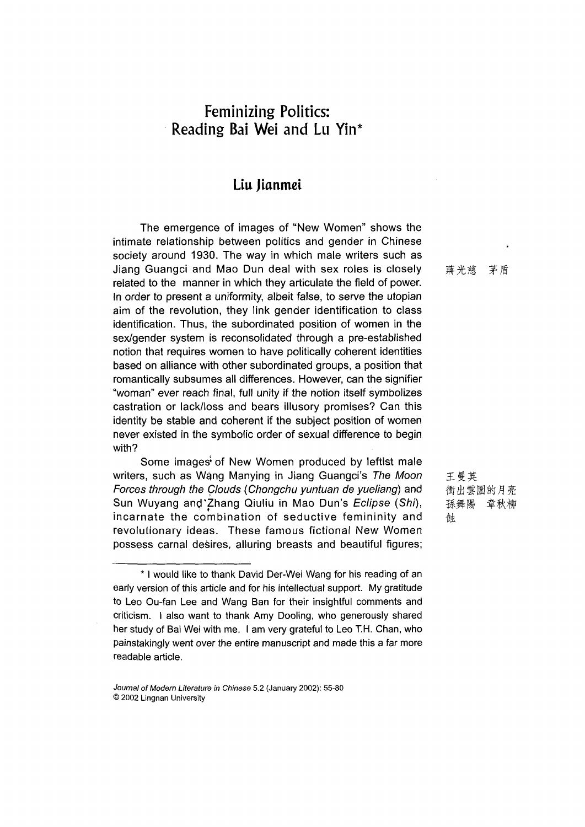## **Feminizing Politics: Reading Bai Wei and Lu Yin\***

### Liu Jianmei

The emergence of images of "New Women" shows the intimate relationship between politics and gender in Chinese society around 1930. The way in which male writers such as Jiang Guangci and Mao Dun deal with sex roles is closely related to the manner in which they articulate the field of power. In order to present a uniformity, albeit false, to serve the utopian aim of the revolution, they link gender identification to class identification. Thus, the subordinated position of women in the sex/gender system is reconsolidated through a pre-established notion that requires women to have politically coherent identities based on alliance with other subordinated groups, a position that romantically subsumes all differences. However, can the signifier "woman" ever reach final, full unity if the notion itself symbolizes castration or lack/loss and bears illusory promises? Can this identity be stable and coherent if the subject position of women never existed in the symbolic order of sexual difference to begin with?

Some images\* of New Women produced by leftist male writers, such as Wang Manying in Jiang Guangci's The Moon *Forces through the Clouds (Chongchu yuntuan de yueliang)* and Sun Wuyang and'Zhang Qiuliu in Mao Dun's *Eclipse* (Shi), incarnate the combination of seductive femininity and revolutionary ideas. These famous fictional New Women possess carnal desires, alluring breasts and beautiful figures; 蔣光慈茅盾

王曼英 衝出雲圍的月亮 孫舞陽 章秋柳 蝕

<sup>\*</sup> I would like to thank David Der-Wei Wang for his reading of an early version of this article and for his intellectual support. My gratitude to Leo Ou-fan Lee and Wang Ban for their insightful comments and criticism. I also want to thank Amy Dooling, who generously shared her study of Bai Wei with me. I am very grateful to Leo T.H. Chan, who painstakingly went over the entire manuscript and made this a far more readable article.

*Journal of Modem Literature in Chinese* 5.2 (January 2002): 55-80 © 2002 Lingnan University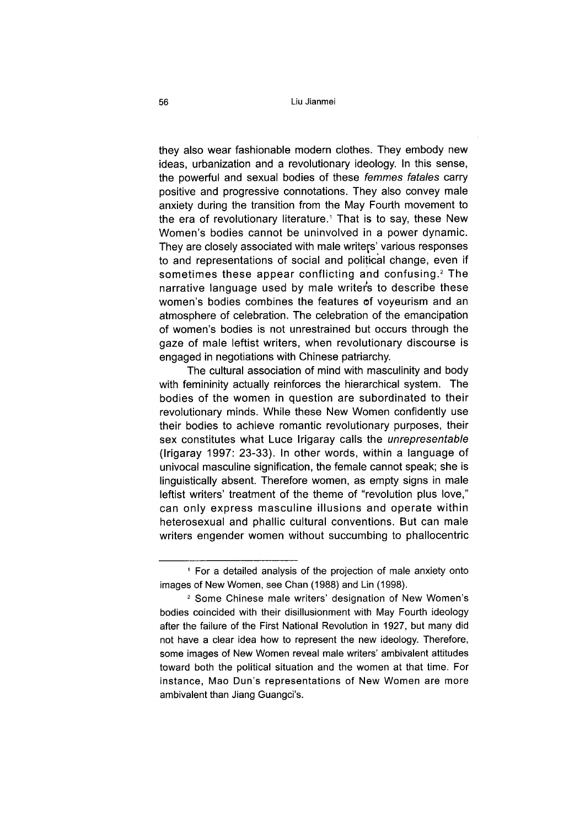56 Liu Jianmei

they also wear fashionable modern clothes. They embody new ideas, urbanization and a revolutionary ideology. In this sense, the powerful and sexual bodies of these *femmes fatales* carry positive and progressive connotations. They also convey male anxiety during the transition from the May Fourth movement to the era of revolutionary literature.<sup>1</sup> That is to say, these New Women's bodies cannot be uninvolved in a power dynamic. They are closely associated with male writers' various responses to and representations of social and political change, even if sometimes these appear conflicting and confusing.<sup>2</sup> The narrative language used by male writers to describe these women's bodies combines the features of voyeurism and an atmosphere of celebration. The celebration of the emancipation of women's bodies is not unrestrained but occurs through the gaze of male leftist writers, when revolutionary discourse is engaged in negotiations with Chinese patriarchy.

The cultural association of mind with masculinity and body with femininity actually reinforces the hierarchical system. The bodies of the women in question are subordinated to their revolutionary minds. While these New Women confidently use their bodies to achieve romantic revolutionary purposes, their sex constitutes what Luce Irigaray calls the *unrepresentable* (Irigaray 1997: 23-33). In other words, within a language of univocal masculine signification, the female cannot speak; she is linguistically absent. Therefore women, as empty signs in male leftist writers' treatment of the theme of "revolution plus love," can only express masculine illusions and operate within heterosexual and phallic cultural conventions. But can male writers engender women without succumbing to phallocentric

<sup>1</sup> For a detailed analysis of the projection of male anxiety onto images of New Women, see Chan (1988) and Lin (1998).

<sup>2</sup> Some Chinese male writers' designation of New Women's bodies coincided with their disillusionment with May Fourth ideology after the failure of the First National Revolution in 1927, but many did not have a clear idea how to represent the new ideology. Therefore, some images of New Women reveal male writers' ambivalent attitudes toward both the political situation and the women at that time. For instance, Mao Dun's representations of New Women are more ambivalent than Jiang Guangci's.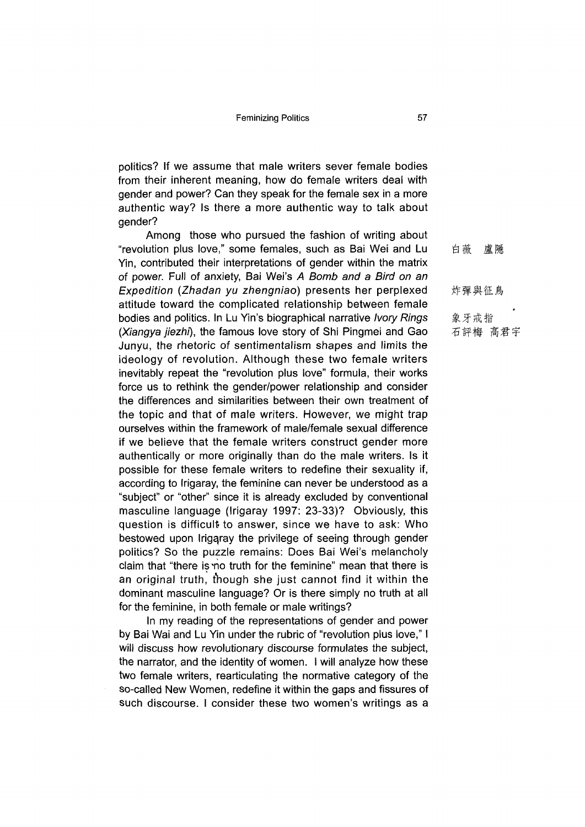politics? If we assume that male writers sever female bodies from their inherent meaning, how do female writers deal with gender and power? Can they speak for the female sex in a more authentic way? Is there a more authentic way to talk about gender?

Among those who pursued the fashion of writing about "revolution plus love," some females, such as Bai Wei and Lu Yin, contributed their interpretations of gender within the matrix of power. Full of anxiety, Bai Wei's *A Bomb and a Bird on an Expedition (Zhadan yu zhengniao)* presents her perplexed attitude toward the complicated relationship between female bodies and politics. In Lu Yin's biographical narrative *Ivory Rings (Xiangya jiezhi),* the famous love story of Shi Pingmei and Gao Junyu, the rhetoric of sentimentalism shapes and limits the ideology of revolution. Although these two female writers inevitably repeat the "revolution plus love" formula, their works force us to rethink the gender/power relationship and consider the differences and similarities between their own treatment of the topic and that of male writers. However, we might trap ourselves within the framework of male/female sexual difference if we believe that the female writers construct gender more authentically or more originally than do the male writers. Is it possible for these female writers to redefine their sexuality if, according to Irigaray, the feminine can never be understood as a "subject" or "other" since it is already excluded by conventional masculine language (Irigaray 1997: 23-33)? Obviously, this question is difficult to answer, since we have to ask: Who bestowed upon Irigqray the privilege of seeing through gender politics? So the puzzle remains: Does Bai Wei's melancholy claim that "there is no truth for the feminine" mean that there is an original truth, though she just cannot find it within the dominant masculine language? Or is there simply no truth at all for the feminine, in both female or male writings?

In my reading of the representations of gender and power by Bai Wai and Lu Yin under the rubric of "revolution plus love," I will discuss how revolutionary discourse formulates the subject, the narrator, and the identity of women. I will analyze how these two female writers, rearticulating the normative category of the so-called New Women, redefine it within the gaps and fissures of such discourse. I consider these two women's writings as a

|  |      | 白薇 盧隱 |         |  |
|--|------|-------|---------|--|
|  |      | 炸彈與征鳥 |         |  |
|  |      |       |         |  |
|  | 象牙戒指 |       | 石評梅 高君宇 |  |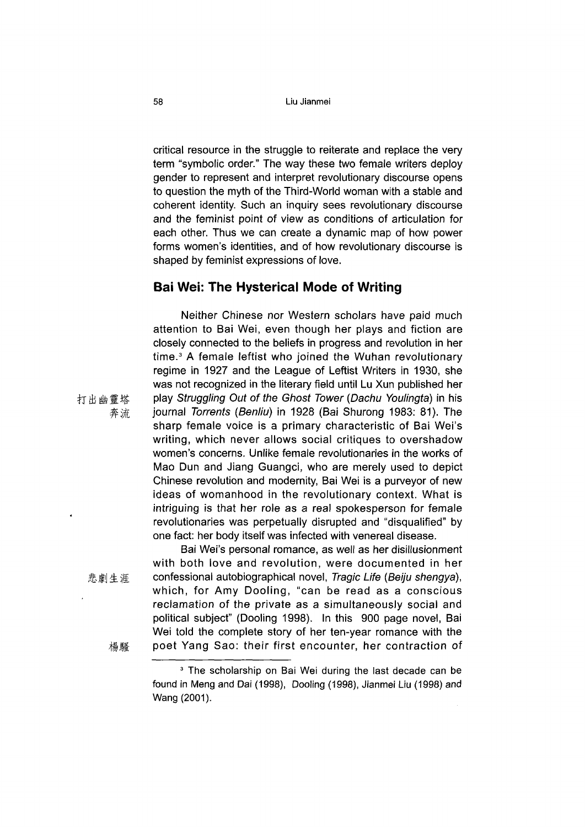critical resource in the struggle to reiterate and replace the very term "symbolic order." The way these two female writers deploy gender to represent and interpret revolutionary discourse opens to question the myth of the Third-World woman with a stable and coherent identity. Such an inquiry sees revolutionary discourse and the feminist point of view as conditions of articulation for each other. Thus we can create a dynamic map of how power forms women's identities, and of how revolutionary discourse is shaped by feminist expressions of love.

### **Bai Wei: The Hysterical Mode of Writing**

Neither Chinese nor Western scholars have paid much attention to Bai Wei, even though her plays and fiction are closely connected to the beliefs in progress and revolution in her time.3 A female leftist who joined the Wuhan revolutionary regime in 1927 and the League of Leftist Writers in 1930, she was not recognized in the literary field until Lu Xun published her play *Struggling Out of the Ghost Tower (Dachu Youlingta)* in his journal *Torrents (Benliu)* in 1928 (Bai Shurong 1983: 81). The sharp female voice is a primary characteristic of Bai Wei's writing, which never allows social critiques to overshadow women's concerns. Unlike female revolutionaries in the works of Mao Dun and Jiang Guangci, who are merely used to depict Chinese revolution and modernity, Bai Wei is a purveyor of new ideas of womanhood in the revolutionary context. What is intriguing is that her role as a real spokesperson for female revolutionaries was perpetually disrupted and "disqualified" by one fact: her body itself was infected with venereal disease.

Bai Wei's personal romance, as well as her disillusionment with both love and revolution, were documented in her confessional autobiographical novel, *Tragic Life (Beiju shengya),* which, for Amy Dooling, "can be read as a conscious reclamation of the private as a simultaneously social and political subject" (Dooling 1998). In this 900 page novel, Bai Wei told the complete story of her ten-year romance with the poet Yang Sao: their first encounter, her contraction of

打出幽靈塔 奔流

悲劇生涯

楊騷

<sup>&</sup>lt;sup>3</sup> The scholarship on Bai Wei during the last decade can be found in Meng and Dai (1998), Dooling (1998), Jianmei Liu (1998) and Wang (2001).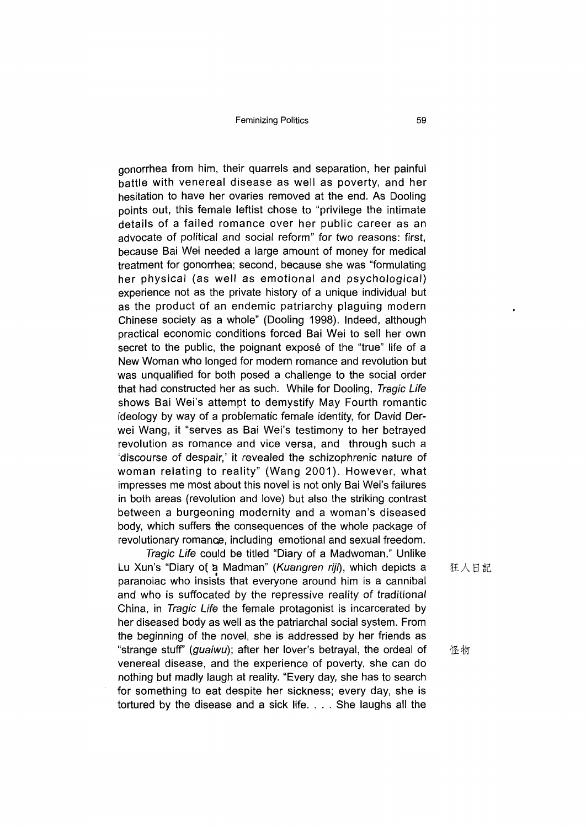gonorrhea from him, their quarrels and separation, her painful battle with venereal disease as well as poverty, and her hesitation to have her ovaries removed at the end. As Dooling points out, this female leftist chose to "privilege the intimate details of a failed romance over her public career as an advocate of political and social reform" for two reasons: first, because Bai Wei needed a large amount of money for medical treatment for gonorrhea; second, because she was "formulating her physical (as well as emotional and psychological) experience not as the private history of a unique individual but as the product of an endemic patriarchy plaguing modern Chinese society as a whole" (Dooling 1998). Indeed, although practical economic conditions forced Bai Wei to sell her own secret to the public, the poignant exposé of the "true" life of a New Woman who longed for modern romance and revolution but was unqualified for both posed a challenge to the social order that had constructed her as such. While for Dooling, *Tragic Life* shows Bai Wei's attempt to demystify May Fourth romantic ideology by way of a problematic female identity, for David Derwei Wang, it "serves as Bai Wei's testimony to her betrayed revolution as romance and vice versa, and through such a 'discourse of despair,' it revealed the schizophrenic nature of woman relating to reality" (Wang 2001). However, what impresses me most about this novel is not only Bai Wei's failures in both areas (revolution and love) but also the striking contrast between a burgeoning modernity and a woman's diseased body, which suffers the consequences of the whole package of revolutionary romance, including emotional and sexual freedom.

*Tragic Life* could be titled "Diary of a Madwoman." Unlike Lu Xun's "Diary of a Madman" (Kuangren riji), which depicts a paranoiac who insists that everyone around him is a cannibal and who is suffocated by the repressive reality of traditional China, in *Tragic Life* the female protagonist is incarcerated by her diseased body as well as the patriarchal social system. From the beginning of the novel, she is addressed by her friends as "strange stuff" (*guaiwu*); after her lover's betrayal, the ordeal of venereal disease, and the experience of poverty, she can do nothing but madly laugh at reality. "Every day, she has to search for something to eat despite her sickness; every day, she is tortured by the disease and a sick life. . . . She laughs all the

狂人日記

怪物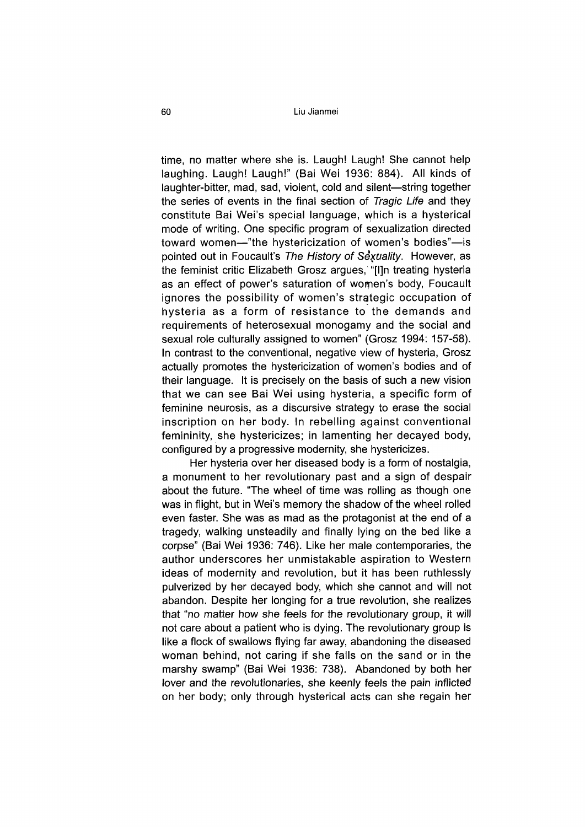time, no matter where she is. Laugh! Laugh! She cannot help laughing. Laugh! Laugh!" (Bai Wei 1936: 884). All kinds of laughter-bitter, mad, sad, violent, cold and silent—string together the series of events in the final section of *Tragic Life* and they constitute Bai Wei's special language, which is a hysterical mode of writing. One specific program of sexualization directed toward women—"the hystericization of women's bodies"—is pointed out in Foucault's *The History of Sexdality.* However, as the feminist critic Elizabeth Grosz argues, "[l]n treating hysteria as an effect of power's saturation of women's body, Foucault ignores the possibility of women's strategic occupation of hysteria as a form of resistance to the demands and requirements of heterosexual monogamy and the social and sexual role culturally assigned to women" (Grosz 1994: 157-58). In contrast to the conventional, negative view of hysteria, Grosz actually promotes the hystericization of women's bodies and of their language. It is precisely on the basis of such a new vision that we can see Bai Wei using hysteria, a specific form of feminine neurosis, as a discursive strategy to erase the social inscription on her body. In rebelling against conventional femininity, she hystericizes; in lamenting her decayed body, configured by a progressive modernity, she hystericizes.

Her hysteria over her diseased body is a form of nostalgia, a monument to her revolutionary past and a sign of despair about the future. "The wheel of time was rolling as though one was in flight, but in Wei's memory the shadow of the wheel rolled even faster. She was as mad as the protagonist at the end of a tragedy, walking unsteadily and finally lying on the bed like a corpse" (Bai Wei 1936: 746), Like her male contemporaries, the author underscores her unmistakable aspiration to Western ideas of modernity and revolution, but it has been ruthlessly pulverized by her decayed body, which she cannot and will not abandon. Despite her longing for a true revolution, she realizes that "no matter how she feels for the revolutionary group, it will not care about a patient who is dying. The revolutionary group is like a flock of swallows flying far away, abandoning the diseased woman behind, not caring if she falls on the sand or in the marshy swamp" (Bai Wei 1936: 738). Abandoned by both her lover and the revolutionaries, she keenly feels the pain inflicted on her body; only through hysterical acts can she regain her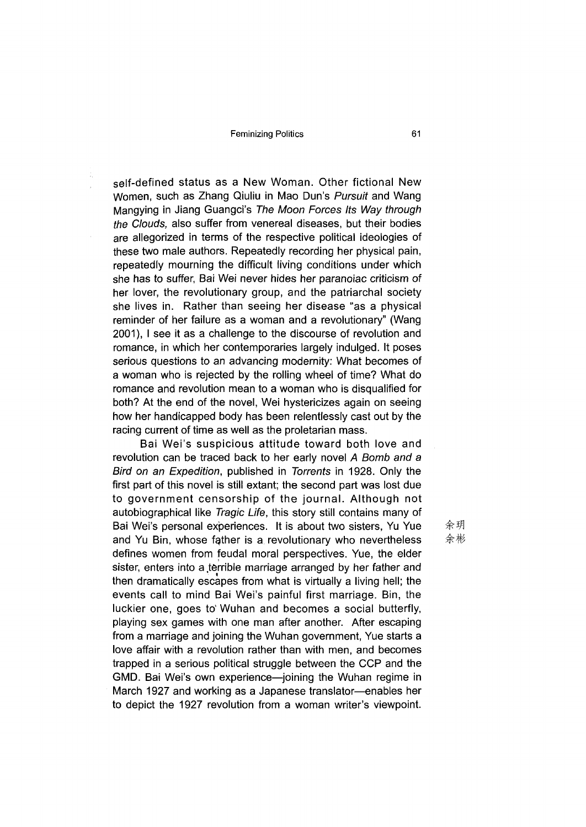self-defined status as a New Woman. Other fictional New Women, such as Zhang Qiuliu in Mao Dun's *Pursuit* and Wang Mangying in Jiang Guangci's *The Moon Forces Its Way through the Clouds,* also suffer from venereal diseases, but their bodies are allegorized in terms of the respective political ideologies of these two male authors. Repeatedly recording her physical pain, repeatedly mourning the difficult living conditions under which she has to suffer, Bai Wei never hides her paranoiac criticism of her lover, the revolutionary group, and the patriarchal society she lives in. Rather than seeing her disease "as a physical reminder of her failure as a woman and a revolutionary" (Wang 2001), I see it as a challenge to the discourse of revolution and romance, in which her contemporaries largely indulged. It poses serious questions to an advancing modernity: What becomes of a woman who is rejected by the rolling wheel of time? What do romance and revolution mean to a woman who is disqualified for both? At the end of the novel, Wei hystericizes again on seeing how her handicapped body has been relentlessly cast out by the racing current of time as well as the proletarian mass.

Bai Wei's suspicious attitude toward both love and revolution can be traced back to her early novel *A Bomb and a Bird on an Expedition,* published in *Torrents* in 1928. Only the first part of this novel is still extant; the second part was lost due to government censorship of the journal. Although not autobiographical like *Tragic Life,* this story still contains many of Bai Wei's personal experiences. It is about two sisters, Yu Yue and Yu Bin, whose father is a revolutionary who nevertheless defines women from feudal moral perspectives. Yue, the elder sister, enters into a terrible marriage arranged by her father and then dramatically escapes from what is virtually a living hell; the events call to mind Bai Wei's painful first marriage. Bin, the luckier one, goes to Wuhan and becomes a social butterfly, playing sex games with one man after another. After escaping from a marriage and joining the Wuhan government, Yue starts a love affair with a revolution rather than with men, and becomes trapped in a serious political struggle between the CCP and the GMD. Bai Wei's own experience—joining the Wuhan regime in March 1927 and working as a Japanese translator—enables her to depict the 1927 revolution from a woman writer's viewpoint.

佘玥 佘彬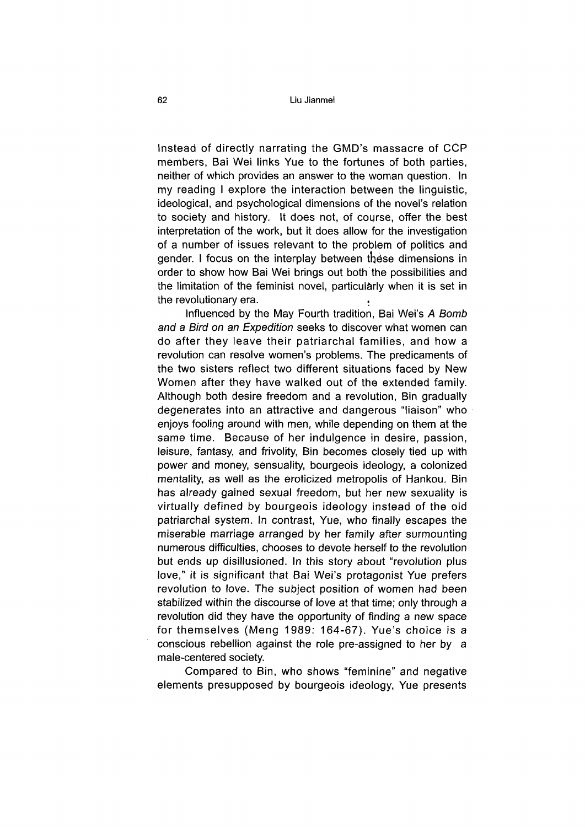Instead of directly narrating the GMD's massacre of CCP members, Bai Wei links Yue to the fortunes of both parties, neither of which provides an answer to the woman question. In my reading I explore the interaction between the linguistic, ideological, and psychological dimensions of the novel's relation to society and history. It does not, of course, offer the best interpretation of the work, but it does allow for the investigation of a number of issues relevant to the problem of politics and gender. I focus on the interplay between these dimensions in order to show how Bai Wei brings out both the possibilities and the limitation of the feminist novel, particularly when it is set in the revolutionary era.

Influenced by the May Fourth tradition, Bai Wei^ *A Bomb and* a *Bird on an Expedition* seeks to discover what women can do after they leave their patriarchal families, and how a revolution can resolve women's problems. The predicaments of the two sisters reflect two different situations faced by New Women after they have walked out of the extended family. Although both desire freedom and a revolution, Bin gradually degenerates into an attractive and dangerous "liaison" who enjoys fooling around with men, while depending on them at the same time. Because of her indulgence in desire, passion, leisure, fantasy, and frivolity, Bin becomes closely tied up with power and money, sensuality, bourgeois ideology, a colonized mentality, as well as the eroticized metropolis of Hankou. Bin has already gained sexual freedom, but her new sexuality is virtually defined by bourgeois ideology instead of the old patriarchal system. In contrast, Yue, who finally escapes the miserable marriage arranged by her family after surmounting numerous difficulties, chooses to devote herself to the revolution but ends up disillusioned. In this story about "revolution plus love," it is significant that Bai Wei's protagonist Yue prefers revolution to love. The subject position of women had been stabilized within the discourse of love at that time; only through a revolution did they have the opportunity of finding a new space for themselves (Meng 1989: 164-67). Yue's choice is a conscious rebellion against the role pre-assigned to her by a male-centered society.

Compared to Bin, who shows "feminine" and negative elements presupposed by bourgeois ideology, Yue presents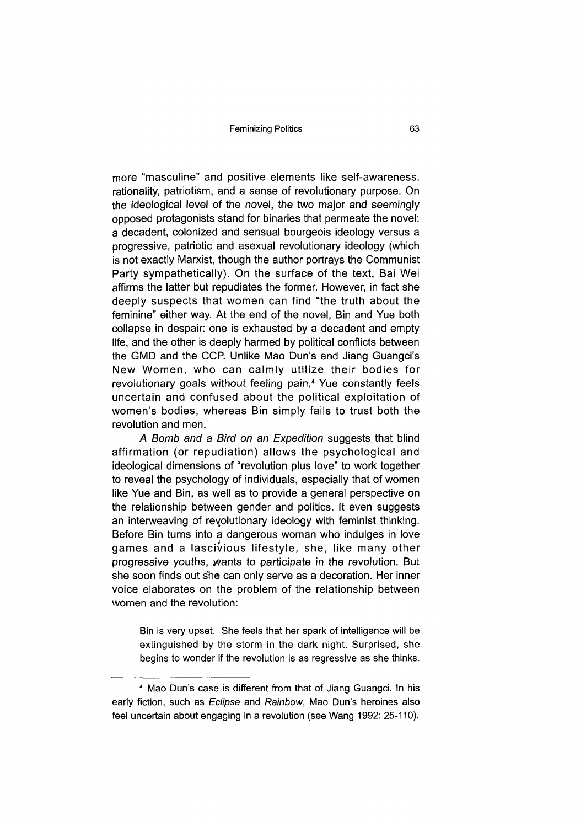more "masculine" and positive elements like self-awareness, rationality, patriotism, and a sense of revolutionary purpose. On the ideological level of the novel, the two major and seemingly opposed protagonists stand for binaries that permeate the novel: a decadent, colonized and sensual bourgeois ideology versus a progressive, patriotic and asexual revolutionary ideology (which is not exactly Marxist, though the author portrays the Communist Party sympathetically). On the surface of the text, Bai Wei affirms the latter but repudiates the former. However, in fact she deeply suspects that women can find "the truth about the feminine" either way. At the end of the novel, Bin and Yue both collapse in despair: one is exhausted by a decadent and empty life, and the other is deeply harmed by political conflicts between the GMD and the CCP. Unlike Mao Dun's and Jiang Guangci's New Women, who can calmly utilize their bodies for revolutionary goals without feeling pain,<sup>4</sup> Yue constantly feels uncertain and confused about the political exploitation of women's bodies, whereas Bin simply fails to trust both the revolution and men.

*A Bomb and a Bird on an Expedition* suggests that blind affirmation (or repudiation) allows the psychological and ideological dimensions of "revolution plus love" to work together to reveal the psychology of individuals, especially that of women like Yue and Bin, as well as to provide a general perspective on the relationship between gender and politics. It even suggests an interweaving of revolutionary ideology with feminist thinking. Before Bin turns into a dangerous woman who indulges in love games and a lascivious lifestyle, she, like many other progressive youths, wants to participate in the revolution. But she soon finds out she can only serve as a decoration. Her inner voice elaborates on the problem of the relationship between women and the revolution:

Bin is very upset. She feels that her spark of intelligence will be extinguished by the storm in the dark night. Surprised, she begins to wonder if the revolution is as regressive as she thinks.

<sup>4</sup> Mao Dun's case is different from that of Jiang Guangci. In his early fiction, such as *Eclipse* and *Rainbow,* Mao Dun's heroines also feel uncertain about engaging in a revolution (see Wang 1992: 25-110).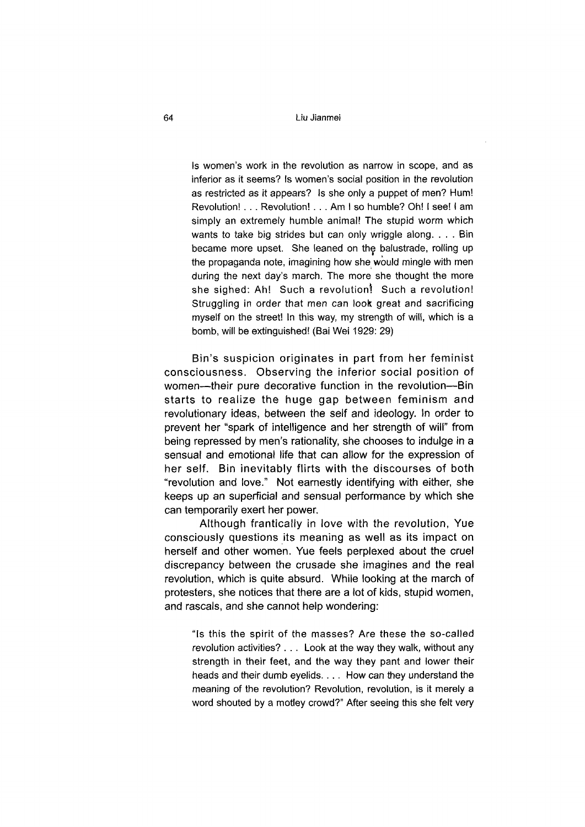64 Liu Jianmei

Is women's work in the revolution as narrow in scope, and as inferior as it seems? Is women's social position in the revolution as restricted as it appears? Is she only a puppet of men? Hum! Revolution! . . . Revolution! . . . Am I so humble? Oh! I see! I am simply an extremely humble animal! The stupid worm which wants to take big strides but can only wriggle along. . . . Bin became more upset. She leaned on the balustrade, rolling up the propaganda note, imagining how she would mingle with men during the next day's march. The more she thought the more she sighed: Ah! Such a revolution! Such a revolution! Struggling in order that men can look great and sacrificing myself on the street! In this way, my strength of will, which is a bomb, will be extinguished! (Bai Wei 1929: 29)

Bin's suspicion originates in part from her feminist consciousness. Observing the inferior social position of women—their pure decorative function in the revolution—Bin starts to realize the huge gap between feminism and revolutionary ideas, between the self and ideology. In order to prevent her "spark of intelligence and her strength of will" from being repressed by men's rationality, she chooses to indulge in a sensual and emotional life that can allow for the expression of her self. Bin inevitably flirts with the discourses of both "revolution and love." Not earnestly identifying with either, she keeps up an superficial and sensual performance by which she can temporarily exert her power.

Although frantically in love with the revolution, Yue consciously questions its meaning as well as its impact on herself and other women. Yue feels perplexed about the cruel discrepancy between the crusade she imagines and the real revolution, which is quite absurd. While looking at the march of protesters, she notices that there are a lot of kids, stupid women, and rascals, and she cannot help wondering:

"Is this the spirit of the masses? Are these the so-called revolution activities? . . . Look at the way they walk, without any strength in their feet, and the way they pant and lower their heads and their dumb eyelids. . . . How can they understand the meaning of the revolution? Revolution, revolution, is it merely a word shouted by a motley crowd?" After seeing this she felt very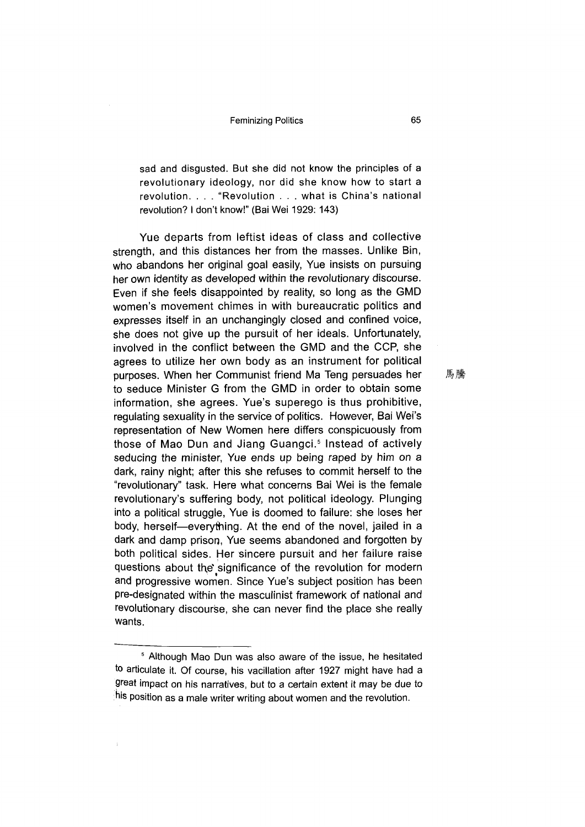sad and disgusted. But she did not know the principles of a revolutionary ideology, nor did she know how to start a revolution. . . . "Revolution . . . what is China's national revolution? I don't know!" (Bai Wei 1929: 143)

Yue departs from leftist ideas of class and collective strength, and this distances her from the masses. Unlike Bin, who abandons her original goal easily, Yue insists on pursuing her own identity as developed within the revolutionary discourse. Even if she feels disappointed by reality, so long as the GMD women's movement chimes in with bureaucratic politics and expresses itself in an unchangingly closed and confined voice, she does not give up the pursuit of her ideals. Unfortunately, involved in the conflict between the GMD and the CCP, she agrees to utilize her own body as an instrument for political purposes. When her Communist friend Ma Teng persuades her to seduce Minister G from the GMD in order to obtain some information, she agrees. Yue's superego is thus prohibitive, regulating sexuality in the service of politics. However, Bai Wei's representation of New Women here differs conspicuously from those of Mao Dun and Jiang Guangci.<sup>5</sup> Instead of actively seducing the minister, Yue ends up being raped by him on a dark, rainy night; after this she refuses to commit herself to the "revolutionary" task. Here what concerns Bai Wei is the female revolutionary's suffering body, not political ideology. Plunging into a political struggle, Yue is doomed to failure: she loses her body, herself—everything. At the end of the novel, jailed in a dark and damp prison, Yue seems abandoned and forgotten by both political sides. Her sincere pursuit and her failure raise questions about the significance of the revolution for modern and progressive women. Since Yue's subject position has been pre-designated within the masculinist framework of national and revolutionary discourse, she can never find the place she really wants.

馬騰

<sup>&</sup>lt;sup>5</sup> Although Mao Dun was also aware of the issue, he hesitated to articulate it. Of course, his vacillation after 1927 might have had a great impact on his narratives, but to a certain extent it may be due to his position as a male writer writing about women and the revolution.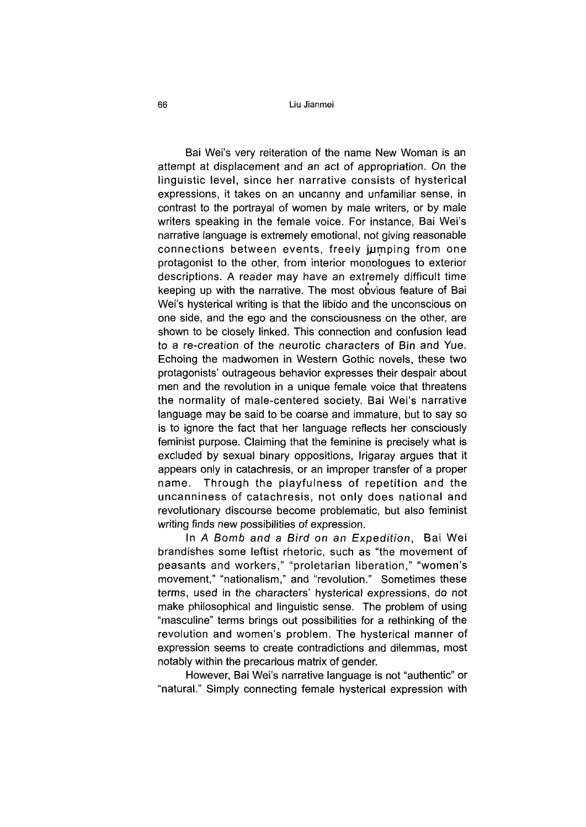### 66 Liu Jianmei

Bai Wei's very reiteration of the name New Woman is an attempt at displacement and an act of appropriation. On the linguistic level, since her narrative consists of hysterical expressions, it takes on an uncanny and unfamiliar sense, in contrast to the portrayal of women by male writers, or by male writers speaking in the female voice. For instance, Bai Wei's narrative language is extremely emotional, not giving reasonable connections between events, freely jumping from one protagonist to the other, from interior monologues to exterior descriptions. A reader may have an extremely difficult time keeping up with the narrative. The most obvious feature of Bai Wei's hysterical writing is that the libido and the unconscious on one side, and the ego and the consciousness on the other, are shown to be closely linked. This connection and confusion lead to a re-creation of the neurotic characters of Bin and Yue. Echoing the madwomen in Western Gothic novels, these two protagonists' outrageous behavior expresses their despair about men and the revolution in a unique female voice that threatens the normality of male-centered society. Bai Wei's narrative language may be said to be coarse and immature, but to say so is to ignore the fact that her language reflects her consciously feminist purpose. Claiming that the feminine is precisely what is excluded by sexual binary oppositions, Irigaray argues that it appears only in catachresis, or an improper transfer of a proper name. Through the playfulness of repetition and the uncanniness of catachresis, not only does national and revolutionary discourse become problematic, but also feminist writing finds new possibilities of expression.

In *A Bomb and a Bird on an Expedition,* Bai Wei brandishes some leftist rhetoric, such as "the movement of peasants and workers," "proletarian liberation," "women's movement," "nationalism," and "revolution." Sometimes these terms, used in the characters' hysterical expressions, do not make philosophical and linguistic sense. The problem of using "masculine" terms brings out possibilities for a rethinking of the revolution and women's problem. The hysterical manner of expression seems to create contradictions and dilemmas, most notably within the precarious matrix of gender.

However, Bai Wei's narrative language is not "authentic" or "natural." Simply connecting female hysterical expression with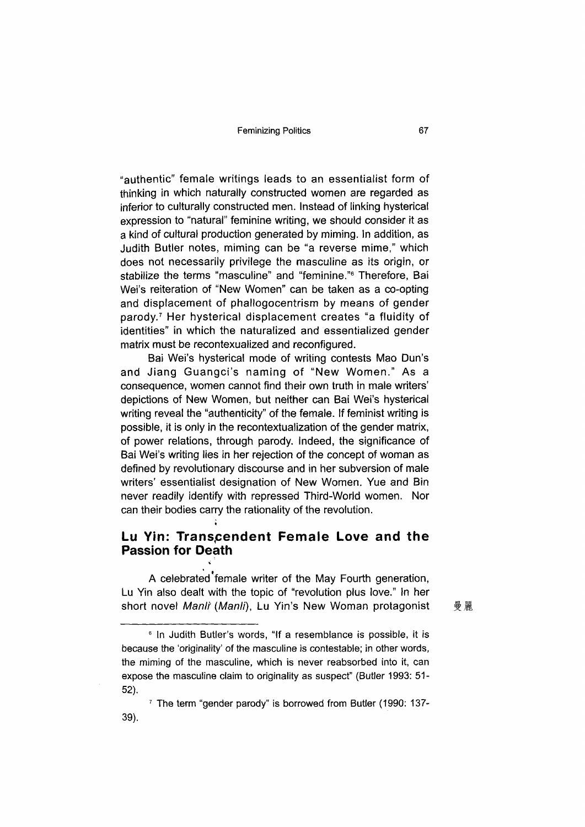"authentic" female writings leads to an essentialist form of thinking in which naturally constructed women are regarded as inferior to culturally constructed men. Instead of linking hysterical expression to "natural" feminine writing, we should consider it as a kind of cultural production generated by miming. In addition, as Judith Butler notes, miming can be "a reverse mime," which does not necessarily privilege the masculine as its origin, or stabilize the terms "masculine" and "feminine."<sup>6</sup> Therefore, Bai Wei's reiteration of "New Women" can be taken as a co-opting and displacement of phallogocentrism by means of gender parody.<sup>7</sup> Her hysterical displacement creates "a fluidity of identities" in which the naturalized and essentialized gender matrix must be recontexualized and reconfigured.

Bai Wei's hysterical mode of writing contests Mao Dun's and Jiang Guangci's naming of "New Women " As a consequence, women cannot find their own truth in male writers' depictions of New Women, but neither can Bai Wei's hysterical writing reveal the "authenticity" of the female. If feminist writing is possible, it is only in the recontextualization of the gender matrix, of power relations, through parody. Indeed, the significance of Bai Wei's writing lies in her rejection of the concept of woman as defined by revolutionary discourse and in her subversion of male writers' essentialist designation of New Women. Yue and Bin never readily identify with repressed Third-World women. Nor can their bodies carry the rationality of the revolution.

### **Lu Yin: Transcendent Female Love and the Passion for Death**

\*

A celebrated female writer of the May Fourth generation, Lu Yin also dealt with the topic of "revolution plus love." In her short novel *Manlt (Manli),* Lu Yin's New Woman protagonist

曼麗

<sup>&</sup>lt;sup>6</sup> In Judith Butler's words, "If a resemblance is possible, it is because the 'originality' of the masculine is contestable; in other words, the miming of the masculine, which is never reabsorbed into it, can expose the masculine claim to originality as suspect" (Butler 1993: 51-52).

<sup>7</sup> The term "gender parody" is borrowed from Butler (1990: 137- 39).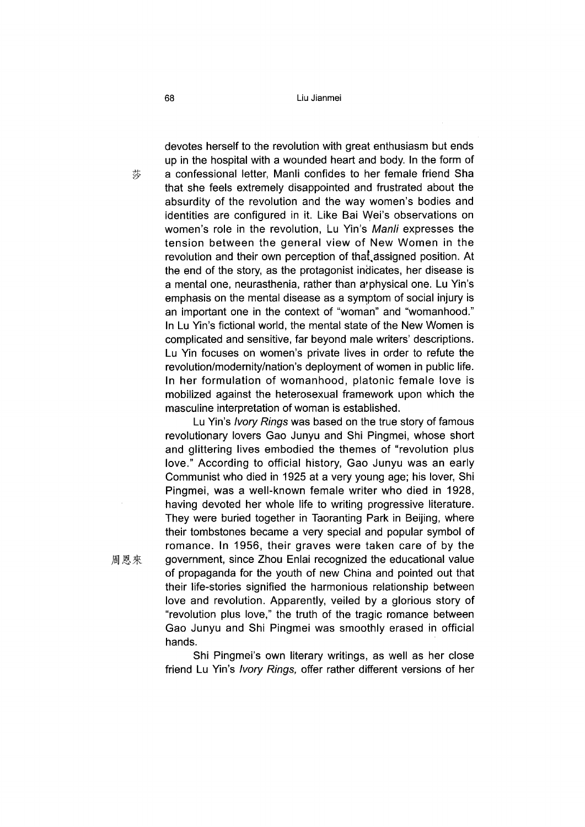devotes herself to the revolution with great enthusiasm but ends up in the hospital with a wounded heart and body. In the form of a confessional letter, Manli confides to her female friend Sha that she feels extremely disappointed and frustrated about the absurdity of the revolution and the way women's bodies and identities are configured in it. Like Bai Wei's observations on women's role in the revolution, Lu Yin's *Manli* expresses the tension between the general view of New Women in the revolution and their own perception of that assigned position. At the end of the story, as the protagonist indicates, her disease is a mental one, neurasthenia, rather than a?physical one. Lu Yin's emphasis on the mental disease as a symptom of social injury is an important one in the context of "woman" and "womanhood." In Lu Yin's fictional world, the mental state of the New Women is complicated and sensitive, far beyond male writers' descriptions. Lu Yin focuses on women's private lives in order to refute the revolution/modernity/nation's deployment of women in public life. In her formulation of womanhood, platonic female love is mobilized against the heterosexual framework upon which the masculine interpretation of woman is established.

Lu Yin's *Ivory Rings* was based on the true story of famous revolutionary lovers Gao Junyu and Shi Pingmei, whose short and glittering lives embodied the themes of "revolution plus love." According to official history, Gao Junyu was an early Communist who died in 1925 at a very young age; his lover, Shi Pingmei, was a well-known female writer who died in 1928, having devoted her whole life to writing progressive literature. They were buried together in Taoranting Park in Beijing, where their tombstones became a very special and popular symbol of romance. In 1956, their graves were taken care of by the 周恩來 government, since Zhou Enlai recognized the educational value of propaganda for the youth of new China and pointed out that their life-stories signified the harmonious relationship between love and revolution. Apparently, veiled by a glorious story of "revolution plus love," the truth of the tragic romance between Gao Junyu and Shi Pingmei was smoothly erased in official hands.

> Shi Pingmei's own literary writings, as well as her close friend Lu Yin's *Ivory Rings*, offer rather different versions of her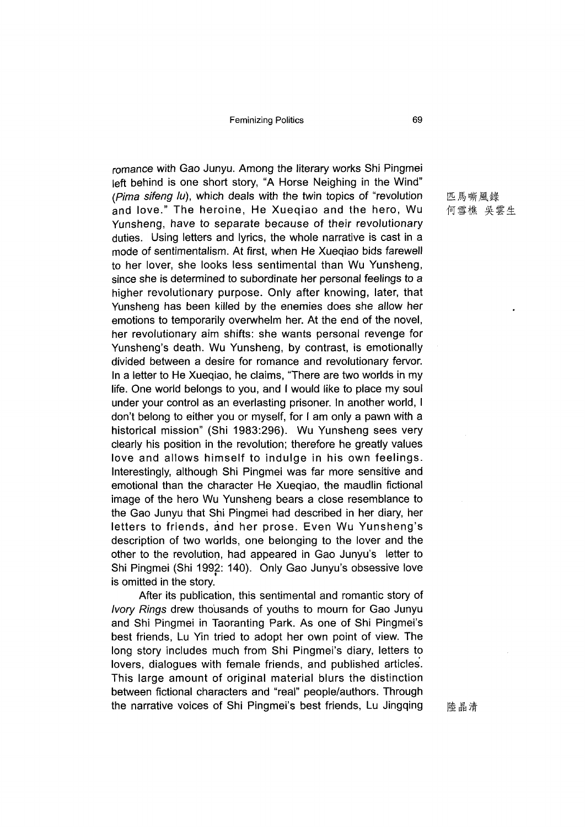romance with Gao Junyu. Among the literary works Shi Pingmei left behind is one short story, "A Horse Neighing in the Wind" *(Pima sifeng lu),* which deals with the twin topics of ''revolution and love." The heroine, He Xueqiao and the hero, Wu Yunsheng, have to separate because of their revolutionary duties. Using letters and lyrics, the whole narrative is cast in a mode of sentimentalism. At first, when He Xueqiao bids farewell to her lover, she looks less sentimental than Wu Yunsheng, since she is determined to subordinate her personal feelings to a higher revolutionary purpose. Only after knowing, later, that Yunsheng has been killed by the enemies does she allow her emotions to temporarily overwhelm her. At the end of the novel, her revolutionary aim shifts: she wants personal revenge for Yunsheng's death. Wu Yunsheng, by contrast, is emotionally divided between a desire for romance and revolutionary fervor. In a letter to He Xueqiao, he claims, "There are two worlds in my life. One world belongs to you, and I would like to place my soul under your control as an everlasting prisoner. In another world, I don't belong to either you or myself, for I am only a pawn with a historical mission" (Shi 1983:296). Wu Yunsheng sees very clearly his position in the revolution; therefore he greatly values love and allows himself to indulge in his own feelings. Interestingly, although Shi Pingmei was far more sensitive and emotional than the character He Xueqiao, the maudlin fictional image of the hero Wu Yunsheng bears a close resemblance to the Gao Junyu that Shi Pingmei had described in her diary, her letters to friends, and her prose. Even Wu Yunsheng's description of two worlds, one belonging to the lover and the other to the revolution, had appeared in Gao Junyu's letter to Shi Pingmei (Shi 1992: 140). Only Gao Junyu's obsessive love is omitted in the story.

After its publication, this sentimental and romantic story of *Ivory Rings* drew thousands of youths to mourn for Gao Junyu and Shi Pingmei in Taoranting Park. As one of Shi Pingmei's best friends, Lu Yin tried to adopt her own point of view. The long story includes much from Shi Pingmei's diary, letters to lovers, dialogues with female friends, and published articles. This large amount of original material blurs the distinction between fictional characters and "real" people/authors. Through the narrative voices of Shi Pingmei's best friends, Lu Jingqing

匹馬嘶風錄 何雪樵 吳雲生

陸晶清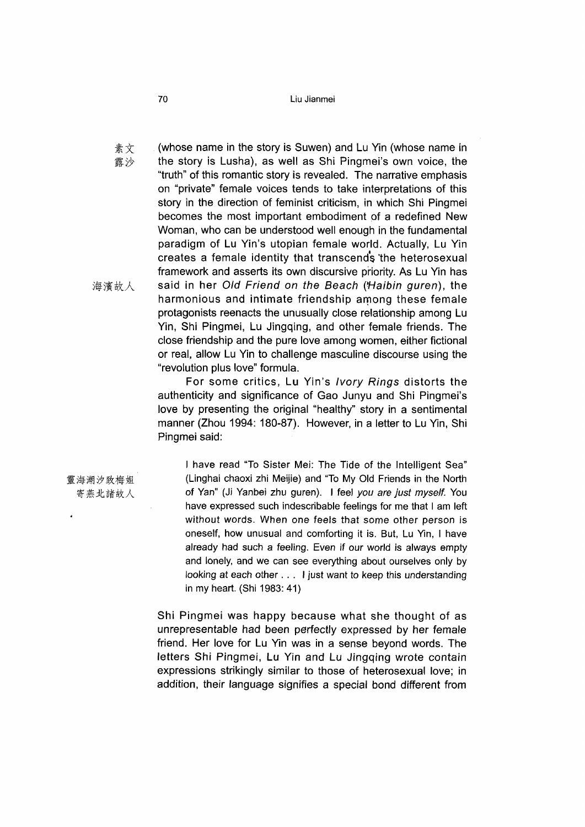#### 70 Liu Jianmei

素文 露沙 海濱故人 (whose name in the story is Suwen) and Lu Yin (whose name in the story is Lusha), as well as Shi Pingmei's own voice, the "truth" of this romantic story is revealed. The narrative emphasis on "private" female voices tends to take interpretations of this story in the direction of feminist criticism, in which Shi Pingmei becomes the most important embodiment of a redefined New Woman, who can be understood well enough in the fundamental paradigm of Lu Yin's utopian female world. Actually, Lu Yin creates a female identity that transcends the heterosexual framework and asserts its own discursive priority. As Lu Yin has said in her *Old Friend on the Beach (Haibin guren),* the harmonious and intimate friendship among these female protagonists reenacts the unusually close relationship among Lu Yin, Shi Pingmei, Lu Jingqing, and other female friends. The close friendship and the pure love among women, either fictional or real, allow Lu Yin to challenge masculine discourse using the "revolution plus love" formula.

For some critics, Lu Yin's *Ivory Rings* distorts the authenticity and significance of Gao Junyu and Shi Pingmei's love by presenting the original "healthy" story in a sentimental manner (Zhou 1994: 180-87). However, in a letter to Lu Yin, Shi Pingmei said:

I have read "To Sister Mei: The Tide of the Intelligent Sea" (Linghai chaoxi zhi Meijie) and "To My Old Friends in the North of Yan" (Ji Yanbei zhu guren). I feel *you are just myself.* You have expressed such indescribable feelings for me that I am left without words. When one feels that some other person is oneself, how unusual and comforting it is. But, Lu Yin, I have already had such a feeling. Even if our world is always empty and lonely, and we can see everything about ourselves only by

in my heart. (Shi 1983: 41)

Shi Pingmei was happy because what she thought of as unrepresentable had been perfectly expressed by her female friend. Her love for Lu Yin was in a sense beyond words. The letters Shi Pingmei, Lu Yin and Lu Jingqing wrote contain expressions strikingly similar to those of heterosexual love; in addition, their language signifies a special bond different from

looking at each other. . . I just want to keep this understanding

靈海潮汐致梅姐 寄燕北諸故人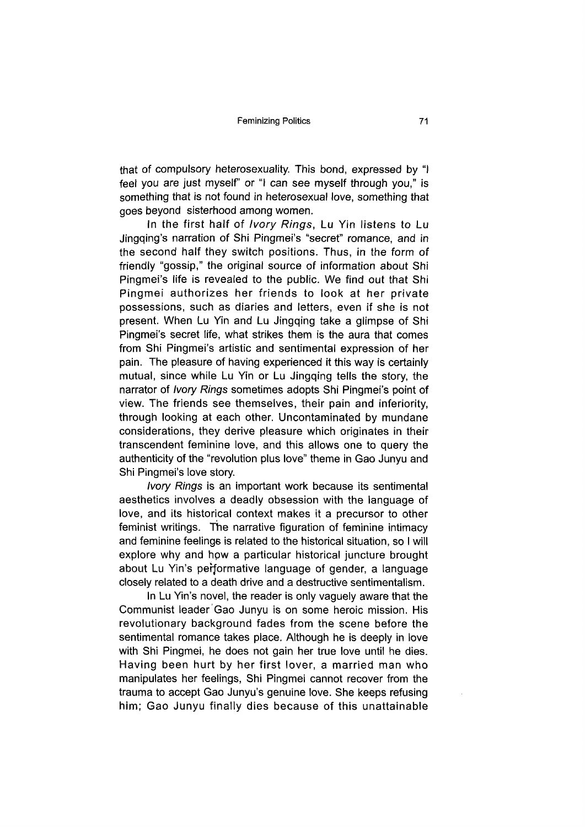that of compulsory heterosexuality. This bond, expressed by "I feel you are just myself" or "I can see myself through you," is something that is not found in heterosexual love, something that goes beyond sisterhood among women.

In the first half of *Ivory Rings,* Lu Yin listens to Lu Jingqing's narration of Shi Pingmei's "secret" romance, and in the second half they switch positions. Thus, in the form of friendly "gossip," the original source of information about Shi Pingmei's life is revealed to the public. We find out that Shi Pingmei authorizes her friends to look at her private possessions, such as diaries and letters, even if she is not present. When Lu Yin and Lu Jingqing take a glimpse of Shi Pingmei's secret life, what strikes them is the aura that comes from Shi Pingmei's artistic and sentimental expression of her pain. The pleasure of having experienced it this way is certainly mutual, since while Lu Yin or Lu Jingqing tells the story, the narrator of *Ivory Rings* sometimes adopts Shi Pingmei's point of view. The friends see themselves, their pain and inferiority, through looking at each other. Uncontaminated by mundane considerations, they derive pleasure which originates in their transcendent feminine love, and this allows one to query the authenticity of the "revolution plus love" theme in Gao Junyu and Shi Pingmei's love story.

*Ivory Rings* is an important work because its sentimental aesthetics involves a deadly obsession with the language of love, and its historical context makes it a precursor to other feminist writings. The narrative figuration of feminine intimacy and feminine feelings is related to the historical situation, so I will explore why and how a particular historical juncture brought about Lu Yin's performative language of gender, a language closely related to a death drive and a destructive sentimentalism.

In Lu Yin's novel, the reader is only vaguely aware that the Communist leader Gao Junyu is on some heroic mission. His revolutionary background fades from the scene before the sentimental romance takes place. Although he is deeply in love with Shi Pingmei, he does not gain her true love until he dies. Having been hurt by her first lover, a married man who manipulates her feelings, Shi Pingmei cannot recover from the trauma to accept Gao Junyu's genuine love. She keeps refusing him; Gao Junyu finally dies because of this unattainable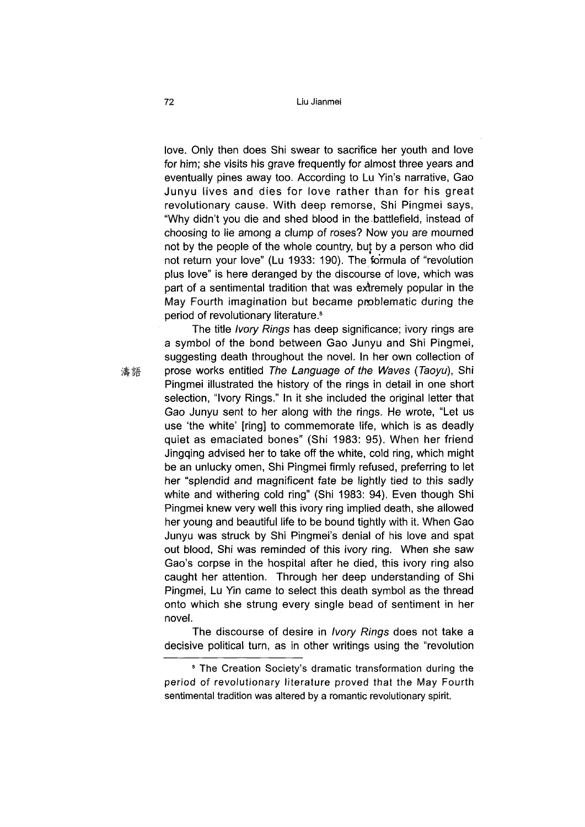love. Only then does Shi swear to sacrifice her youth and love for him; she visits his grave frequently for almost three years and eventually pines away too. According to Lu Yin's narrative, Gao Junyu lives and dies for love rather than for his great revolutionary cause. With deep remorse, Shi Pingmei says, "Why didn't you die and shed blood in the battlefield, instead of choosing to lie among a clump of roses? Now you are mourned not by the people of the whole country, but by a person who did not return your love" (Lu 1933: 190). The formula of "revolution plus love" is here deranged by the discourse of love, which was part of a sentimental tradition that was extremely popular in the May Fourth imagination but became pnoblematic during the period of revolutionary literature.<sup>8</sup>

The title *Ivory Rings* has deep significance; ivory rings are a symbol of the bond between Gao Junyu and Shi Pingmei, suggesting death throughout the novel. In her own collection of prose works entitled *The Language of the Waves (Taoyu),* Shi Pingmei illustrated the history of the rings in detail in one short selection, "Ivory Rings." In it she included the original letter that Gao Junyu sent to her along with the rings. He wrote, "Let us use 'the white' [ring] to commemorate life, which is as deadly quiet as emaciated bones" (Shi 1983: 95). When her friend Jingqing advised her to take off the white, cold ring, which might be an unlucky omen, Shi Pingmei firmly refused, preferring to let her "splendid and magnificent fate be lightly tied to this sadly white and withering cold ring" (Shi 1983: 94). Even though Shi Pingmei knew very well this ivory ring implied death, she allowed her young and beautiful life to be bound tightly with it. When Gao Junyu was struck by Shi Pingmei's denial of his love and spat out blood, Shi was reminded of this ivory ring. When she saw Gao's corpse in the hospital after he died, this ivory ring also caught her attention. Through her deep understanding of Shi Pingmei, Lu Yin came to select this death symbol as the thread onto which she strung every single bead of sentiment in her novel.

The discourse of desire in *Ivory Rings* does not take a decisive political turn, as in other writings using the "revolution"

濤語

<sup>&</sup>lt;sup>8</sup> The Creation Society's dramatic transformation during the period of revolutionary literature proved that the May Fourth sentimental tradition was altered by a romantic revolutionary spirit.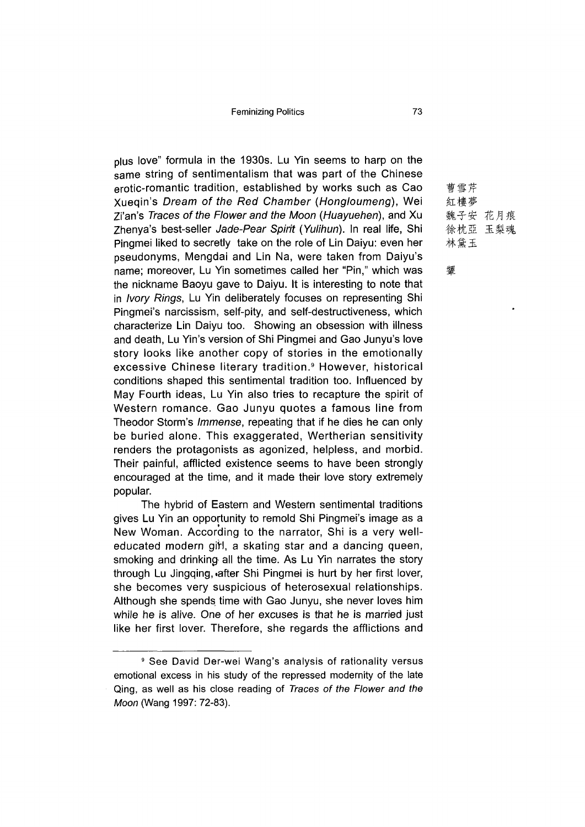plus love" formula in the 1930s. Lu Yin seems to harp on the same string of sentimentalism that was part of the Chinese erotic-romantic tradition, established by works such as Cao Xueqin's *Dream of the Red Chamber (Hongloumeng),* Wei Zi'an's *Traces of the Flower and the Moon (Huayuehen),* and Xu Zhenya's best-seller *Jade-Pear Spirit (Yulihun)*. In real life, Shi Pingmei liked to secretly take on the role of Lin Daiyu: even her pseudonyms, Mengdai and Lin Na, were taken from Daiyu's name; moreover, Lu Yin sometimes called her "Pin," which was the nickname Baoyu gave to Daiyu. It is interesting to note that in *Ivory Rings,* Lu Yin deliberately focuses on representing Shi Pingmei's narcissism, self-pity, and self-destructiveness, which characterize Lin Daiyu too. Showing an obsession with illness and death, Lu Yin's version of Shi Pingmei and Gao Junyu's love story looks like another copy of stories in the emotionally excessive Chinese literary tradition.<sup>9</sup> However, historical conditions shaped this sentimental tradition too. Influenced by May Fourth ideas, Lu Yin also tries to recapture the spirit of Western romance. Gao Junyu quotes a famous line from Theodor Storm's *Immense,* repeating that if he dies he can only be buried alone. This exaggerated, Wertherian sensitivity renders the protagonists as agonized, helpless, and morbid. Their painful, afflicted existence seems to have been strongly encouraged at the time, and it made their love story extremely popular.

The hybrid of Eastern and Western sentimental traditions gives Lu Yin an opportunity to remold Shi Pingmei's image as a New Woman. According to the narrator, Shi is a very welleducated modern girl, a skating star and a dancing queen, smoking and drinking all the time. As Lu Yin narrates the story through Lu Jingqing, after Shi Pingmei is hurt by her first lover, she becomes very suspicious of heterosexual relationships. Although she spends time with Gao Junyu, she never loves him while he is alive. One of her excuses is that he is married just like her first lover. Therefore, she regards the afflictions and

曹雪芹 紅樓夢 魏子安 花月痕 徐枕亞玉梨魂 林黛玉

#### 顰

<sup>9</sup> See David Der-wei Wang's analysis of rationality versus emotional excess in his study of the repressed modernity of the late Qing, as well as his close reading of *Traces of the Flower and the Moon* (Wang 1997: 72-83).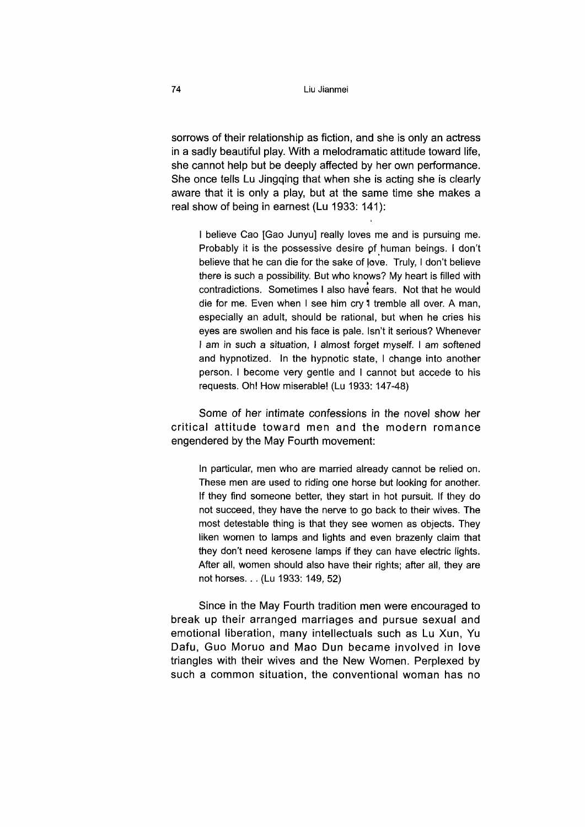sorrows of their relationship as fiction, and she is only an actress in a sadly beautiful play. With a melodramatic attitude toward life, she cannot help but be deeply affected by her own performance. She once tells Lu Jingqing that when she is acting she is clearly aware that it is only a play, but at the same time she makes a real show of being in earnest (Lu 1933: 141):

I believe Cao [Gao Junyu] really loves me and is pursuing me. Probably it is the possessive desire of human beings. I don't believe that he can die for the sake of |ove. Truly, I don't believe there is such a possibility. But who knows? My heart is filled with contradictions. Sometimes I also have fears. Not that he would die for me. Even when I see him cry 1 tremble all over. A man, especially an adult, should be rational, but when he cries his eyes are swollen and his face is pale. Isn't it serious? Whenever I am in such a situation, I almost forget myself. I am softened and hypnotized. In the hypnotic state, I change into another person. I become very gentle and I cannot but accede to his requests. Oh! How miserable! (Lu 1933: 147-48)

Some of her intimate confessions in the novel show her critical attitude toward men and the modern romance engendered by the May Fourth movement:

In particular, men who are married already cannot be relied on. These men are used to riding one horse but looking for another. If they find someone better, they start in hot pursuit. If they do not succeed, they have the nerve to go back to their wives. The most detestable thing is that they see women as objects. They liken women to lamps and lights and even brazenly claim that they don't need kerosene lamps if they can have electric lights. After all, women should also have their rights; after all, they are not horses. . . (Lu 1933: 149, 52)

Since in the May Fourth tradition men were encouraged to break up their arranged marriages and pursue sexual and emotional liberation, many intellectuals such as Lu Xun, Yu Dafu, Guo Moruo and Mao Dun became involved in love triangles with their wives and the New Women. Perplexed by such a common situation, the conventional woman has no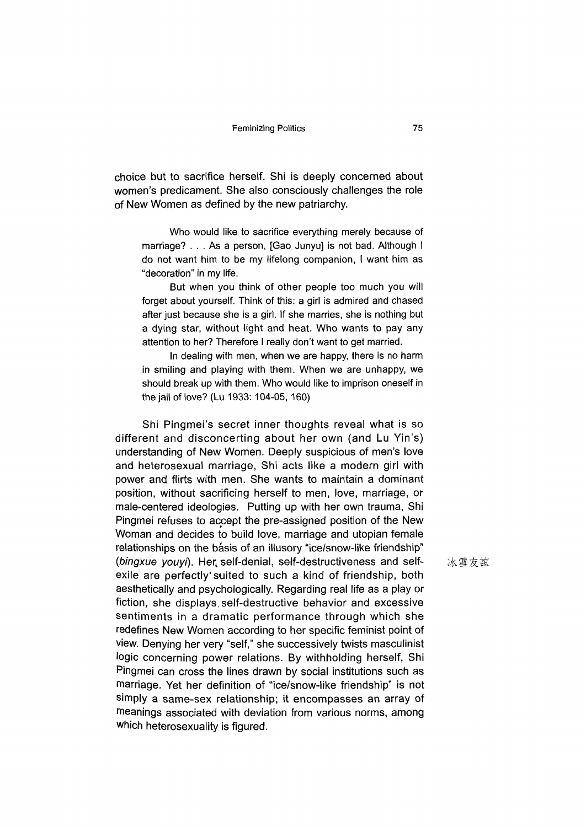choice but to sacrifice herself. Shi is deeply concerned about women's predicament. She also consciously challenges the role of New Women as defined by the new patriarchy.

Who would like to sacrifice everything merely because of marriage? . . . As a person, [Gao Junyu] is not bad. Although I do not want him to be my lifelong companion, I want him as "decoration" in my life.

But when you think of other people too much you will forget about yourself. Think of this: a girl is admired and chased after just because she is a girl. If she marries, she is nothing but a dying star, without light and heat. Who wants to pay any attention to her? Therefore I really don't want to get married.

In dealing with men, when we are happy, there is no harm in smiling and playing with them. When we are unhappy, we should break up with them. Who would like to imprison oneself in the jail of love? (Lu 1933:104-05, 160)

Shi Pingmei's secret inner thoughts reveal what is so different and disconcerting about her own (and Lu Yin's) understanding of New Women. Deeply suspicious of men's love and heterosexual marriage, Shi acts like a modern girl with power and flirts with men. She wants to maintain a dominant position, without sacrificing herself to men, love, marriage, or male-centered ideologies. Putting up with her own trauma, Shi Pingmei refuses to accept the pre-assigned position of the New Woman and decides to build love, marriage and utopian female relationships on the basis of an illusory "ice/snow-like friendship" *{bingxue youyi).* Her, self-denial, self-destructiveness and selfexile are perfectly'suited to such a kind of friendship, both aesthetically and psychologically. Regarding real life as a play or fiction, she displays self-destructive behavior and excessive sentiments in a dramatic performance through which she redefines New Women according to her specific feminist point of view. Denying her very "self," she successively twists masculinist logic concerning power relations. By withholding herself, Shi Pingmei can cross the lines drawn by social institutions such as marriage. Yet her definition of "ice/snow\_like friendship" is not simply a same-sex relationship; it encompasses an array of meanings associated with deviation from various norms, among which heterosexuality is figured.

冰雪友誼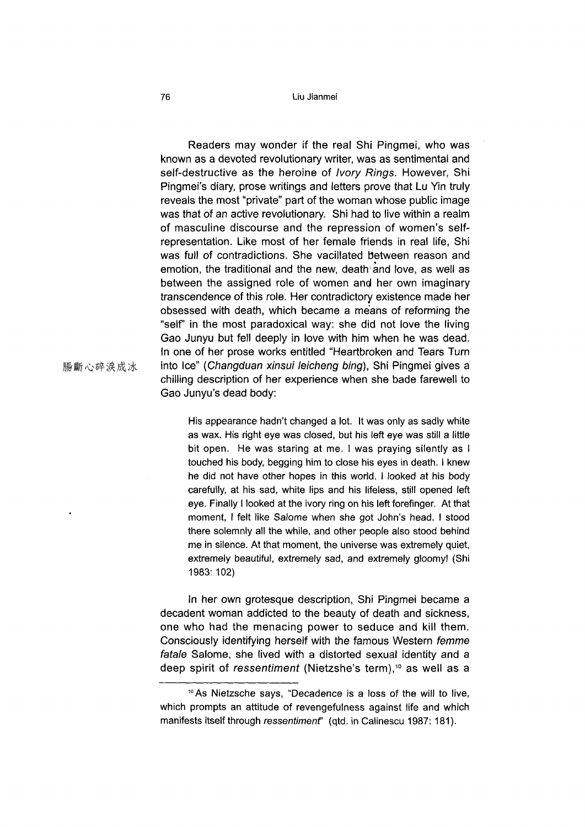#### 76 Liu Jianmei

Readers may wonder if the real Shi Pingmei, who was known as a devoted revolutionary writer, was as sentimental and self-destructive as the heroine of *Ivory Rings.* However, Shi Pingmei's diary, prose writings and letters prove that Lu Yin truly reveals the most "private" part of the woman whose public image was that of an active revolutionary. Shi had to live within a realm of masculine discourse and the repression of women's selfrepresentation. Like most of her female friends in real life, Shi was full of contradictions. She vacillated between reason and emotion, the traditional and the new, death and love, as well as between the assigned role of women and her own imaginary transcendence of this role. Her contradictory existence made her obsessed with death, which became a means of reforming the "self" in the most paradoxical way: she did not love the living Gao Junyu but fell deeply in love with him when he was dead. In one of her prose works entitled "Heartbroken and Tears Turn into Ice" (Changduan xinsui leicheng bing), Shi Pingmei gives a chilling description of her experience when she bade farewell to Gao Junyu's dead body:

His appearance hadn't changed a lot. It was only as sadly white as wax. His right eye was closed, but his left eye was still a little bit open. He was staring at me. I was praying silently as I touched his body, begging him to close his eyes in death. I knew he did not have other hopes in this world. I looked at his body carefully, at his sad, white lips and his lifeless, still opened left eye. Finally I looked at the ivory ring on his left forefinger. At that moment, I felt like Salome when she got John's head. I stood there solemnly all the while, and other people also stood behind me in silence. At that moment, the universe was extremely quiet, extremely beautiful, extremely sad, and extremely gloomy! (Shi 1983: 102)

In her own grotesque description, Shi Pingmei became a decadent woman addicted to the beauty of death and sickness, one who had the menacing power to seduce and kill them. Consciously identifying herself with the famous Western *femme fatale* Salome, she lived with a distorted sexual identity and a deep spirit of *ressentiment* (Nietzshe's term),<sup>10</sup> as well as a

腸斷心碎淚成冰

 $10$  As Nietzsche says, "Decadence is a loss of the will to live, which prompts an attitude of revengefulness against life and which manifests itself through *ressentimenf* (qtd. in Calinescu 1987: 181).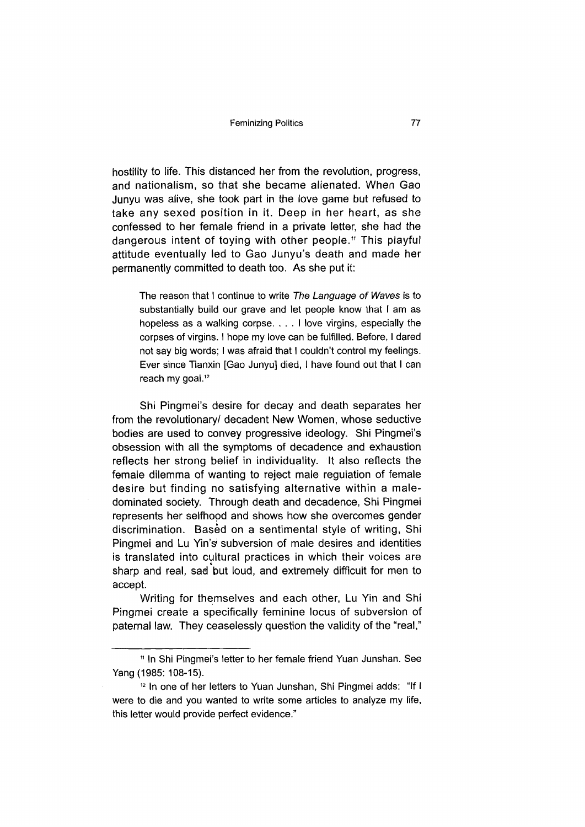hostility to life. This distanced her from the revolution, progress, and nationalism, so that she became alienated. When Gao Junyu was alive, she took part in the love game but refused to take any sexed position in it. Deep in her heart, as she confessed to her female friend in a private letter, she had the dangerous intent of toying with other people.<sup>11</sup> This playful attitude eventually led to Gao Junyu's death and made her permanently committed to death too. As she put it:

The reason that I continue to write *The Language of Waves* is to substantially build our grave and let people know that I am as hopeless as a walking corpse. . . . I love virgins, especially the corpses of virgins. I hope my love can be fulfilled. Before, I dared not say big words; I was afraid that I couldn't control my feelings. Ever since Tianxin [Gao Junyu] died, I have found out that I can reach my goal.<sup>12</sup>

Shi Pingmei's desire for decay and death separates her from the revolutionary/ decadent New Women, whose seductive bodies are used to convey progressive ideology. Shi Pingmei's obsession with all the symptoms of decadence and exhaustion reflects her strong belief in individuality. It also reflects the female dilemma of wanting to reject male regulation of female desire but finding no satisfying alternative within a maledominated society. Through death and decadence, Shi Pingmei represents her selfhood and shows how she overcomes gender discrimination. Based on a sentimental style of writing, Shi Pingmei and Lu Yin's subversion of male desires and identities is translated into cultural practices in which their voices are sharp and real, sad but loud, and extremely difficult for men to accept.

Writing for themselves and each other, Lu Yin and Shi Pingmei create a specifically feminine locus of subversion of paternal law. They ceaselessly question the validity of the "real,"

<sup>11</sup> In Shi Pingmei's letter to her female friend Yuan Junshan. See Yang (1985: 108-15).

<sup>12</sup> In one of her letters to Yuan Junshan, Shi Pingmei adds: "If I were to die and you wanted to write some articles to analyze my life, this letter would provide perfect evidence."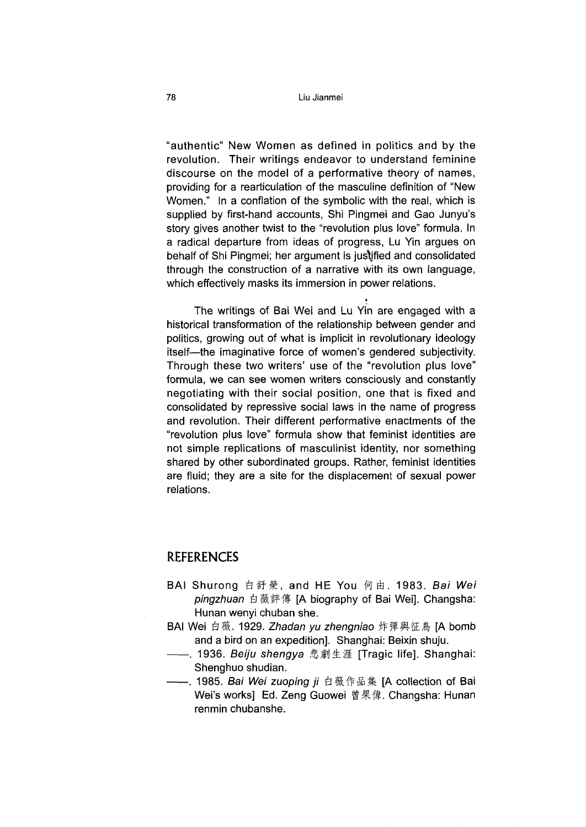"authentic" New Women as defined in politics and by the revolution. Their writings endeavor to understand feminine discourse on the model of a performative theory of names, providing for a rearticulation of the masculine definition of "New Women." In a conflation of the symbolic with the real, which is supplied by first-hand accounts, Shi Pingmei and Gao Junyu's story gives another twist to the "revolution plus love" formula. In a radical departure from ideas of progress, Lu Yin argues on behalf of Shi Pingmei; her argument is justified and consolidated through the construction of a narrative with its own language, which effectively masks its immersion in power relations.

\*

The writings of Bai Wei and Lu Yin are engaged with a historical transformation of the relationship between gender and politics, growing out of what is implicit in revolutionary ideology itself-the imaginative force of women's gendered subjectivity. Through these two writers' use of the "revolution plus love" formula, we can see women writers consciously and constantly negotiating with their social position, one that is fixed and consolidated by repressive social laws in the name of progress and revolution. Their different performative enactments of the "revolution plus love" formula show that feminist identities are not simple replications of masculinist identity, nor something shared by other subordinated groups. Rather, feminist identities are fluid; they are a site for the displacement of sexual power relations.

### REFERENCES

- BAI Shurong 白舒榮, and HE You 何由. 1983. Bai Wei pingzhuan 白薇評傳 [A biography of Bai Wei]. Changsha: Hunan wenyi chuban she.
- BAI Wei 白薇. 1929. Zhadan yu zhengniao 炸彈與征鳥 [A bomb and a bird on an expedition]. Shanghai: Beixin shuju.
- —. 1936. *Beiju shengya* 悲劇生涯 [Tragic life]. Shanghai: Shenghuo shudian.
- -. 1985. *Bai Wei zuoping ji 白*薇作品集 [A collection of Bai Wei's works] Ed. Zeng Guowei 曾果偉. Changsha: Hunan renmin chubanshe.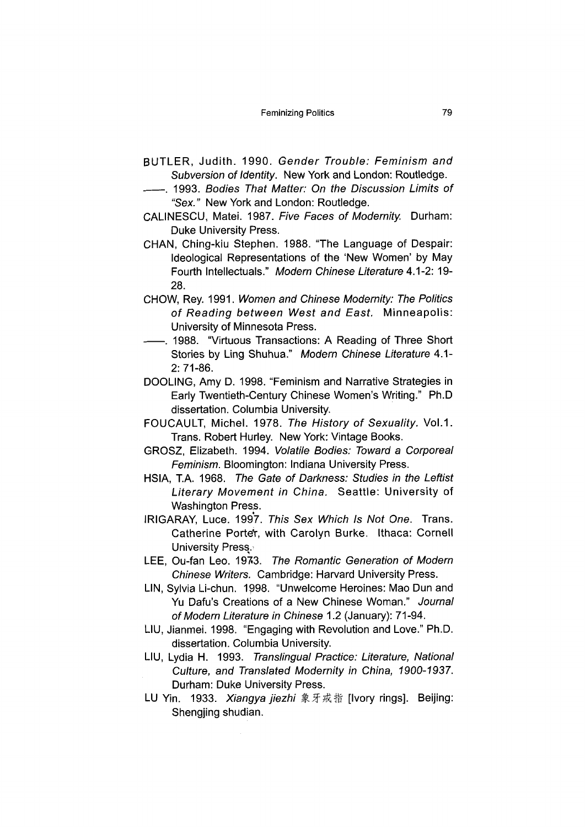- BUTLER, Judith. 1990. *Gender Trouble: Feminism and Subversion of Identity.* New York and London: Routledge.
- **-**---. 1993. *Bodies That Matter: On the Discussion Limits of* "Sex." New York and London: Routledge.
- CALINESCU, Matei. 1987. *Five Faces of Modernity.* Durham: Duke University Press.
- CHAN, Ching-kiu Stephen. 1988. "The Language of Despair: Ideological Representations of the 'New Women' by May Fourth Intellectuals." Modern Chinese Literature 4.1-2: 19-28.
- CHOW, Rey. 1991. *Women and Chinese Modernity: The Politics of Reading between West and East.* Minneapolis: University of Minnesota Press.
- -. 1988. "Virtuous Transactions: A Reading of Three Short Stories by Ling Shuhaa." *Modern Chinese Literature* 4.1- 2:71-86.
- DOOLING,Amy D. 1998. "Feminism and Narrative Strategies in Early Twentieth-Century Chinese Women's Writing." Ph.D dissertation. Columbia University.
- FOUCAULT, Michel. 1978. *The History of Sexuality.* Vol.1. Trans. Robert Hurley. New York: Vintage Books.
- GROSZ, Elizabeth. 1994. *Volatile Bodies: Toward a Corporeal Feminism.* Bloomington: Indiana University Press.
- HSIA, T.A. 1968. *The Gate of Darkness: Studies in the Leftist Literary Movement in China.* Seattle: University of Washington Press.
- IRIGARAY, Luce. 1997. *This Sex Which Is Not One.* Trans. Catherine Porter, with Carolyn Burke. Ithaca: Cornell **University Press.**
- LEE, Ou-fan Leo. 1973. The Romantic Generation of Modern *Chinese Writers.* Cambridge: Harvard University Press.
- UN, Sylvia Li-chun. 1998. "Unwelcome Heroines: Mao Dun and Yu Dafu's Creations of a New Chinese Woman." *Journal of Modern Literature in Chinese* 1.2 (January): 71-94.
- LIU, Jianmei. 1998. "Engaging with Revolution and Love." Ph.D. dissertation. Columbia University.
- LIU, Lydia H. 1993. *Translingual Practice: Literature, National Culture, and Translated Modernity in China, 1900-1937.* Durham: Duke University Press.
- LU Yin. 1933. Xiangya jiezhi 象牙戒指 [Ivory rings]. Beijing: Shengjing shudian.